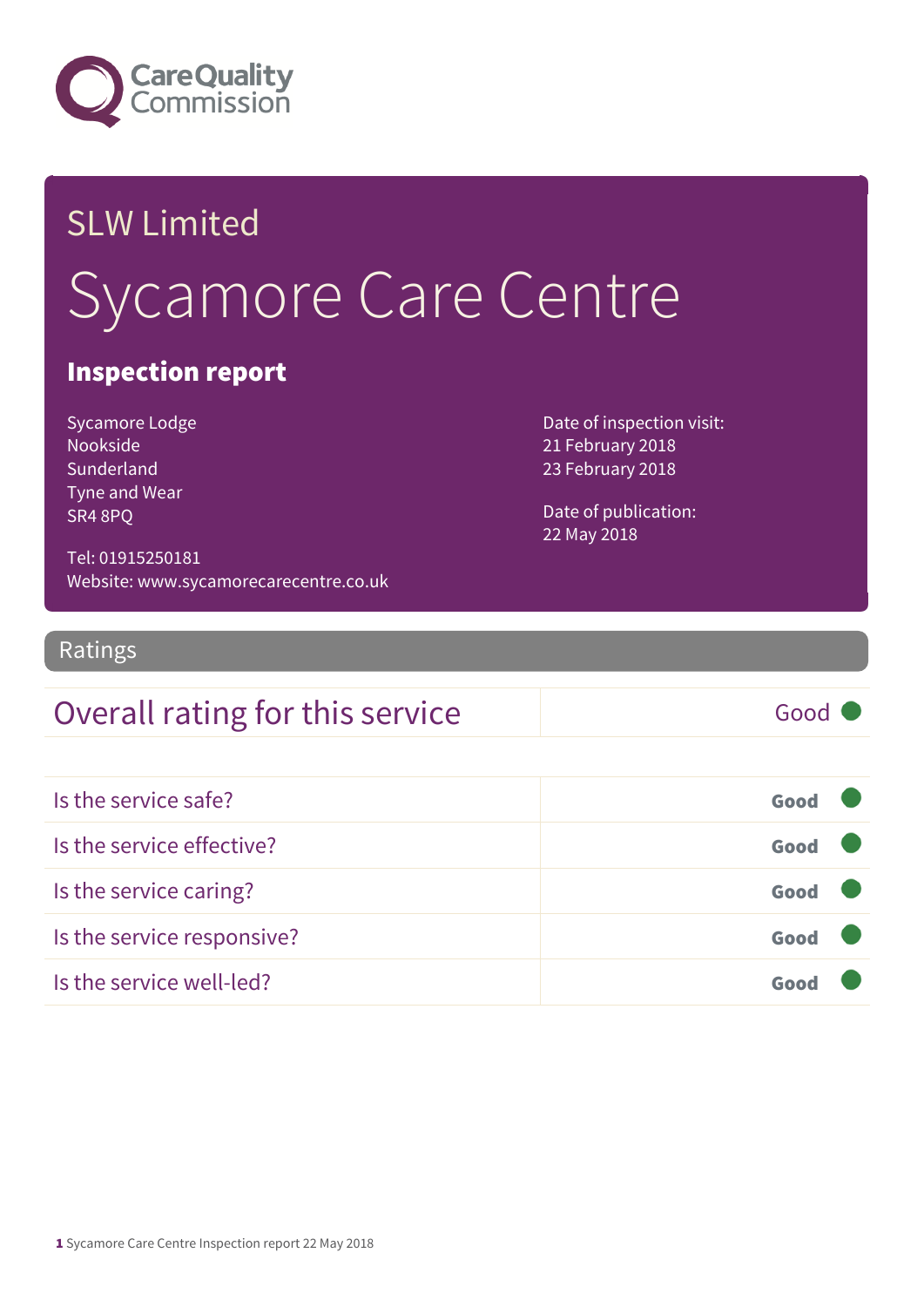

# SLW Limited Sycamore Care Centre

#### Inspection report

Sycamore Lodge Nookside **Sunderland** Tyne and Wear SR4 8PQ

Date of inspection visit: 21 February 2018 23 February 2018

Date of publication: 22 May 2018

Tel: 01915250181 Website: www.sycamorecarecentre.co.uk

Ratings

#### Overall rating for this service Fig. 600 Good

| Is the service safe?       | Good |  |
|----------------------------|------|--|
| Is the service effective?  | Good |  |
| Is the service caring?     | Good |  |
| Is the service responsive? | Good |  |
| Is the service well-led?   |      |  |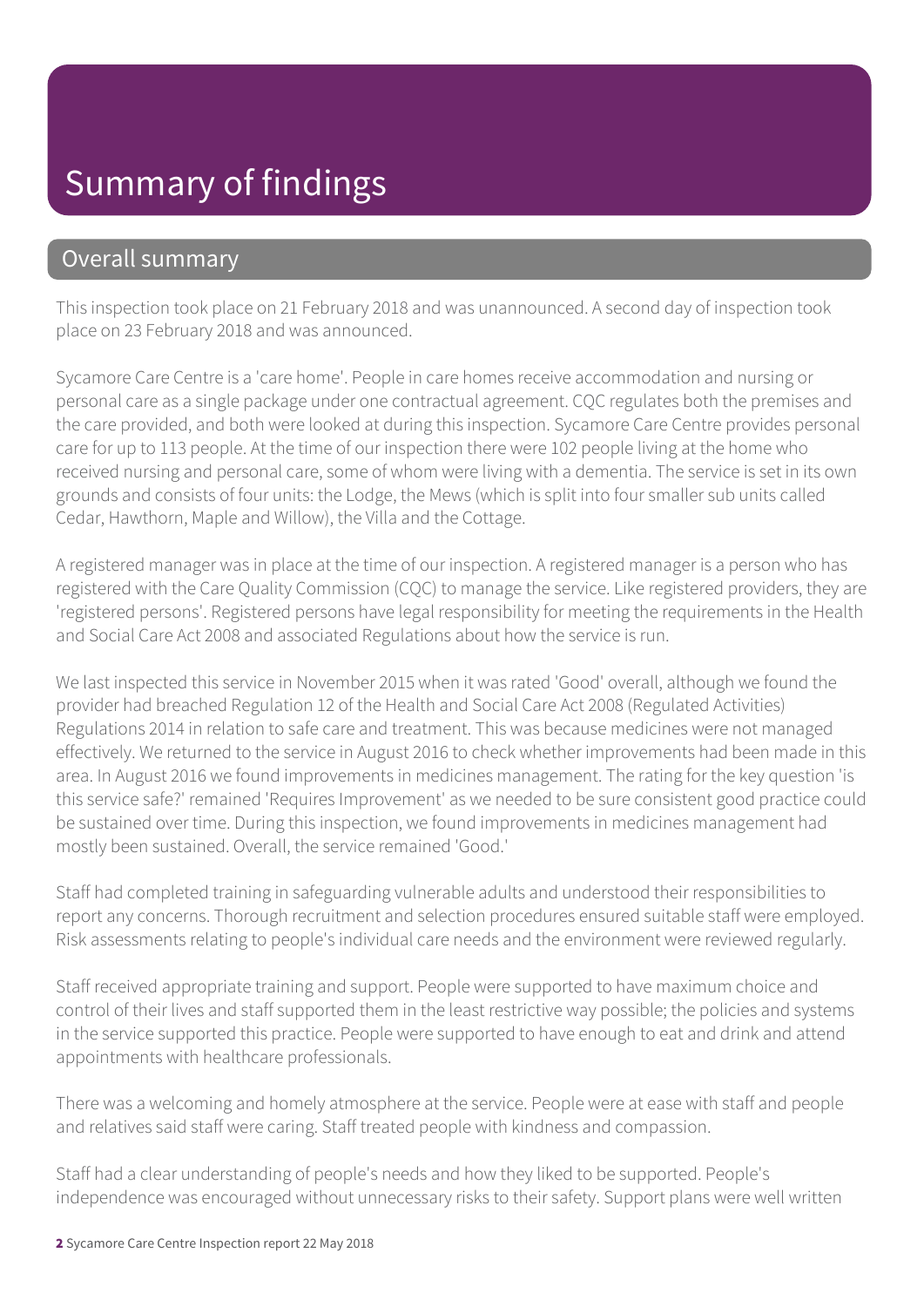## Summary of findings

#### Overall summary

This inspection took place on 21 February 2018 and was unannounced. A second day of inspection took place on 23 February 2018 and was announced.

Sycamore Care Centre is a 'care home'. People in care homes receive accommodation and nursing or personal care as a single package under one contractual agreement. CQC regulates both the premises and the care provided, and both were looked at during this inspection. Sycamore Care Centre provides personal care for up to 113 people. At the time of our inspection there were 102 people living at the home who received nursing and personal care, some of whom were living with a dementia. The service is set in its own grounds and consists of four units: the Lodge, the Mews (which is split into four smaller sub units called Cedar, Hawthorn, Maple and Willow), the Villa and the Cottage.

A registered manager was in place at the time of our inspection. A registered manager is a person who has registered with the Care Quality Commission (CQC) to manage the service. Like registered providers, they are 'registered persons'. Registered persons have legal responsibility for meeting the requirements in the Health and Social Care Act 2008 and associated Regulations about how the service is run.

We last inspected this service in November 2015 when it was rated 'Good' overall, although we found the provider had breached Regulation 12 of the Health and Social Care Act 2008 (Regulated Activities) Regulations 2014 in relation to safe care and treatment. This was because medicines were not managed effectively. We returned to the service in August 2016 to check whether improvements had been made in this area. In August 2016 we found improvements in medicines management. The rating for the key question 'is this service safe?' remained 'Requires Improvement' as we needed to be sure consistent good practice could be sustained over time. During this inspection, we found improvements in medicines management had mostly been sustained. Overall, the service remained 'Good.'

Staff had completed training in safeguarding vulnerable adults and understood their responsibilities to report any concerns. Thorough recruitment and selection procedures ensured suitable staff were employed. Risk assessments relating to people's individual care needs and the environment were reviewed regularly.

Staff received appropriate training and support. People were supported to have maximum choice and control of their lives and staff supported them in the least restrictive way possible; the policies and systems in the service supported this practice. People were supported to have enough to eat and drink and attend appointments with healthcare professionals.

There was a welcoming and homely atmosphere at the service. People were at ease with staff and people and relatives said staff were caring. Staff treated people with kindness and compassion.

Staff had a clear understanding of people's needs and how they liked to be supported. People's independence was encouraged without unnecessary risks to their safety. Support plans were well written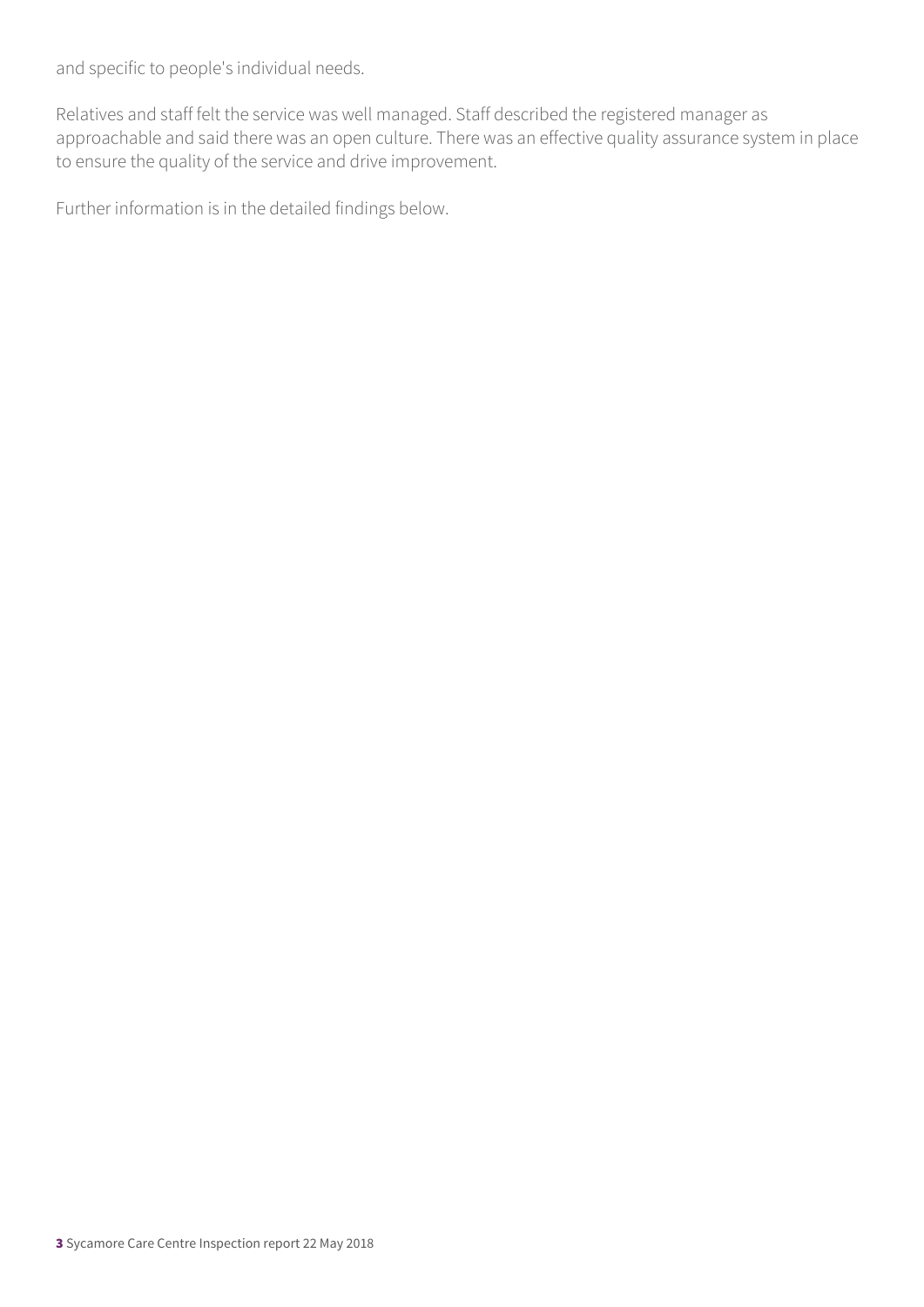and specific to people's individual needs.

Relatives and staff felt the service was well managed. Staff described the registered manager as approachable and said there was an open culture. There was an effective quality assurance system in place to ensure the quality of the service and drive improvement.

Further information is in the detailed findings below.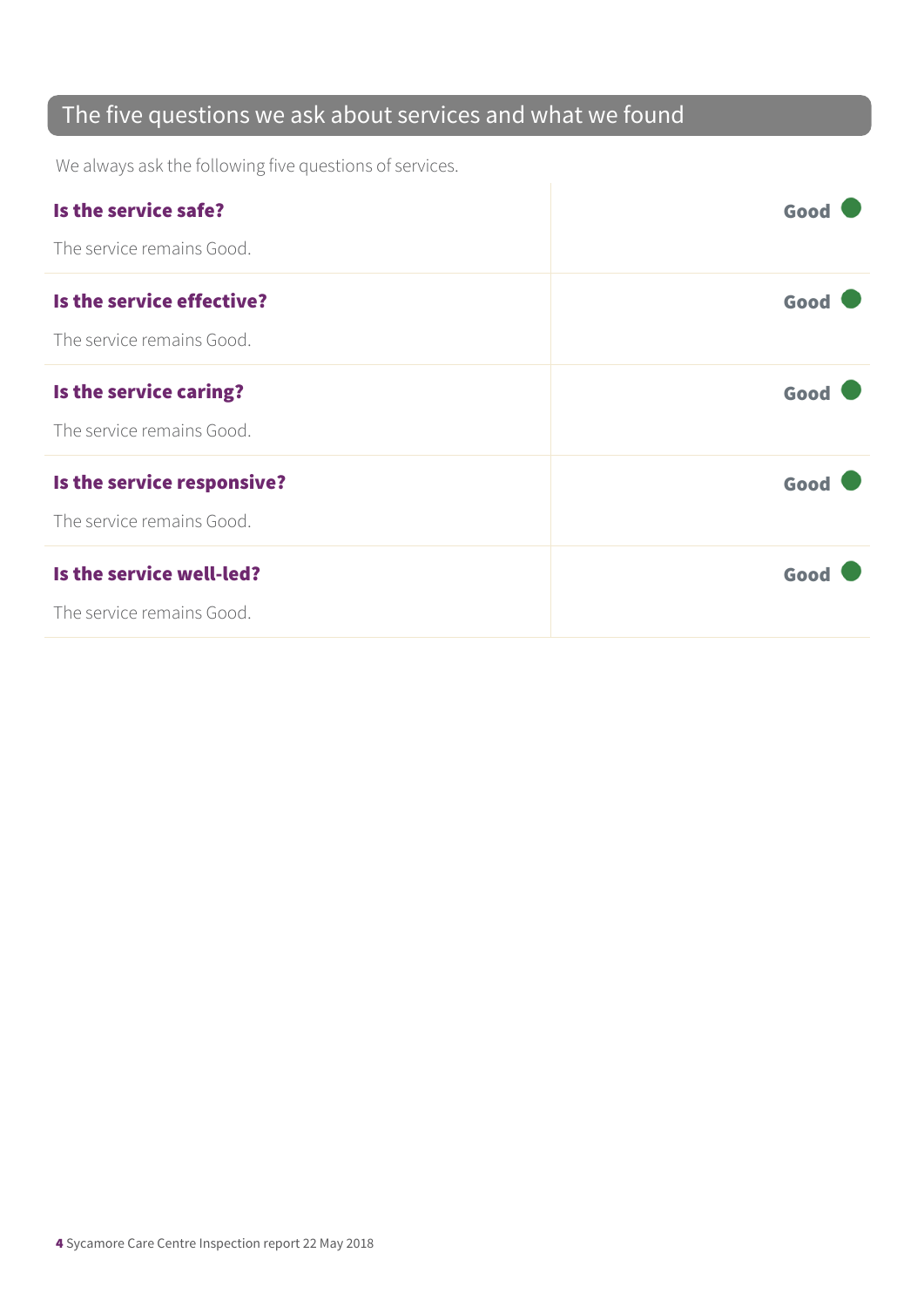#### The five questions we ask about services and what we found

We always ask the following five questions of services.

| Is the service safe?       | Good |
|----------------------------|------|
| The service remains Good.  |      |
| Is the service effective?  | Good |
| The service remains Good.  |      |
| Is the service caring?     | Good |
| The service remains Good.  |      |
| Is the service responsive? | Good |
| The service remains Good.  |      |
| Is the service well-led?   | Good |
| The service remains Good.  |      |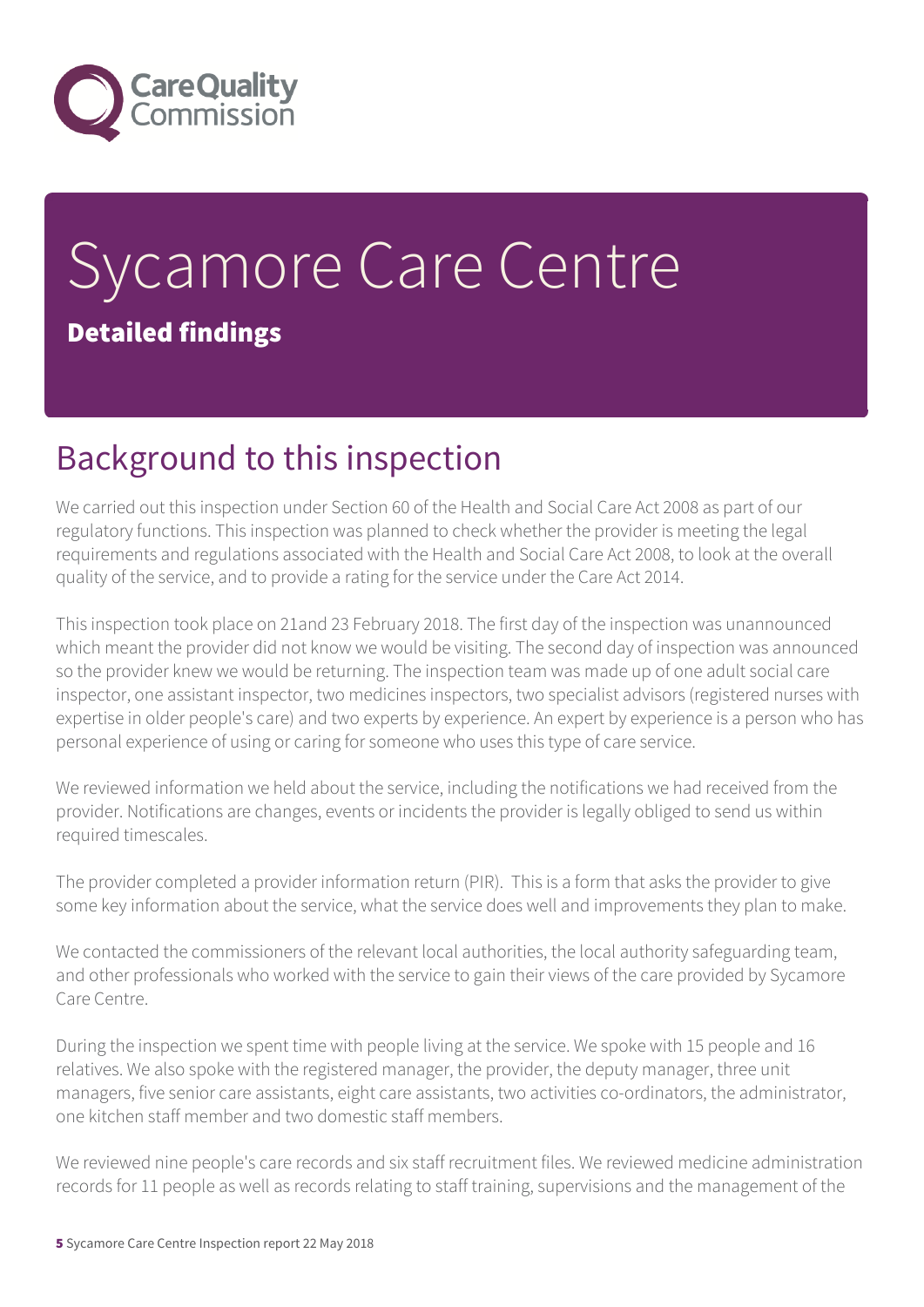

# Sycamore Care Centre Detailed findings

# Background to this inspection

We carried out this inspection under Section 60 of the Health and Social Care Act 2008 as part of our regulatory functions. This inspection was planned to check whether the provider is meeting the legal requirements and regulations associated with the Health and Social Care Act 2008, to look at the overall quality of the service, and to provide a rating for the service under the Care Act 2014.

This inspection took place on 21and 23 February 2018. The first day of the inspection was unannounced which meant the provider did not know we would be visiting. The second day of inspection was announced so the provider knew we would be returning. The inspection team was made up of one adult social care inspector, one assistant inspector, two medicines inspectors, two specialist advisors (registered nurses with expertise in older people's care) and two experts by experience. An expert by experience is a person who has personal experience of using or caring for someone who uses this type of care service.

We reviewed information we held about the service, including the notifications we had received from the provider. Notifications are changes, events or incidents the provider is legally obliged to send us within required timescales.

The provider completed a provider information return (PIR). This is a form that asks the provider to give some key information about the service, what the service does well and improvements they plan to make.

We contacted the commissioners of the relevant local authorities, the local authority safeguarding team, and other professionals who worked with the service to gain their views of the care provided by Sycamore Care Centre.

During the inspection we spent time with people living at the service. We spoke with 15 people and 16 relatives. We also spoke with the registered manager, the provider, the deputy manager, three unit managers, five senior care assistants, eight care assistants, two activities co-ordinators, the administrator, one kitchen staff member and two domestic staff members.

We reviewed nine people's care records and six staff recruitment files. We reviewed medicine administration records for 11 people as well as records relating to staff training, supervisions and the management of the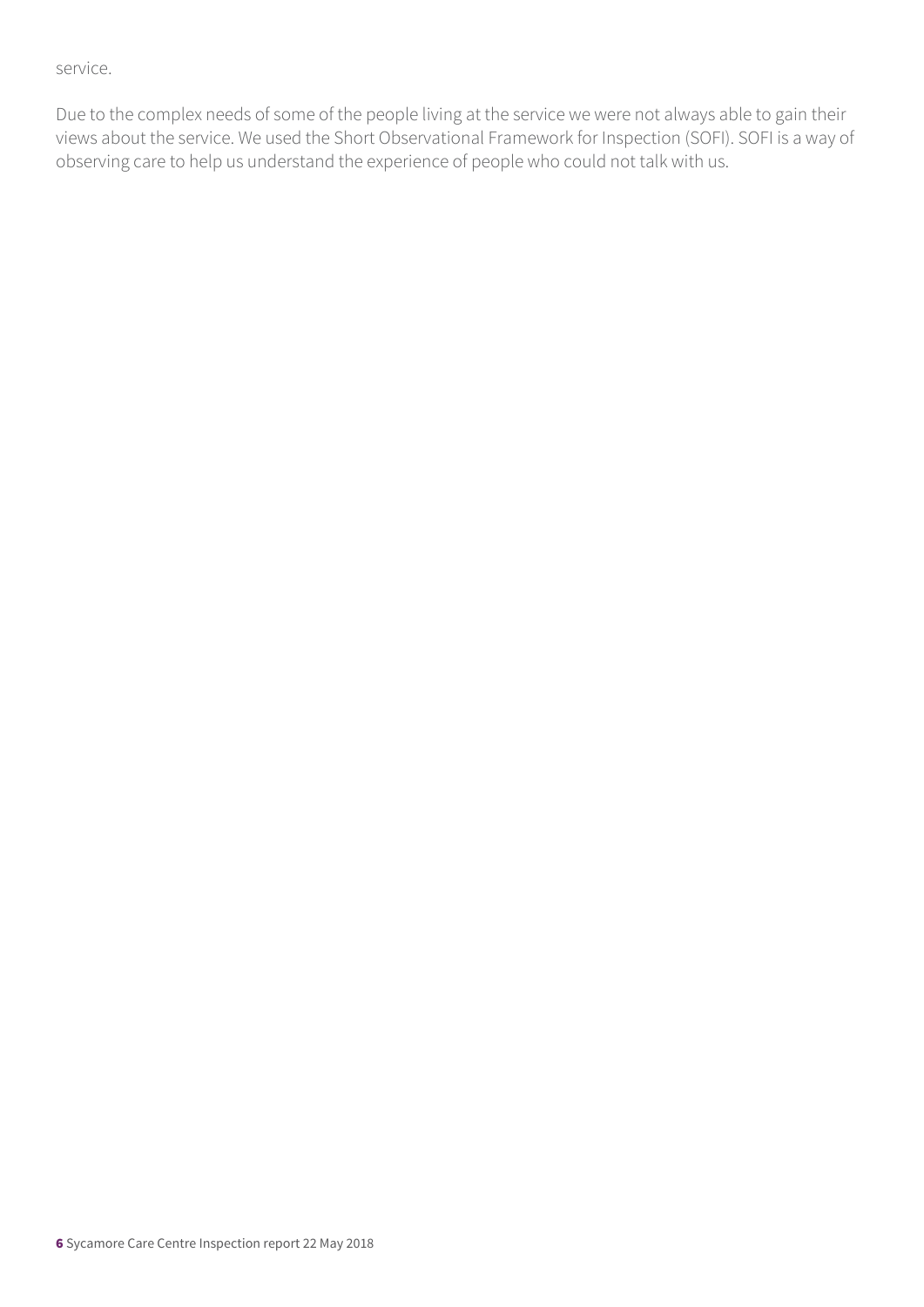service.

Due to the complex needs of some of the people living at the service we were not always able to gain their views about the service. We used the Short Observational Framework for Inspection (SOFI). SOFI is a way of observing care to help us understand the experience of people who could not talk with us.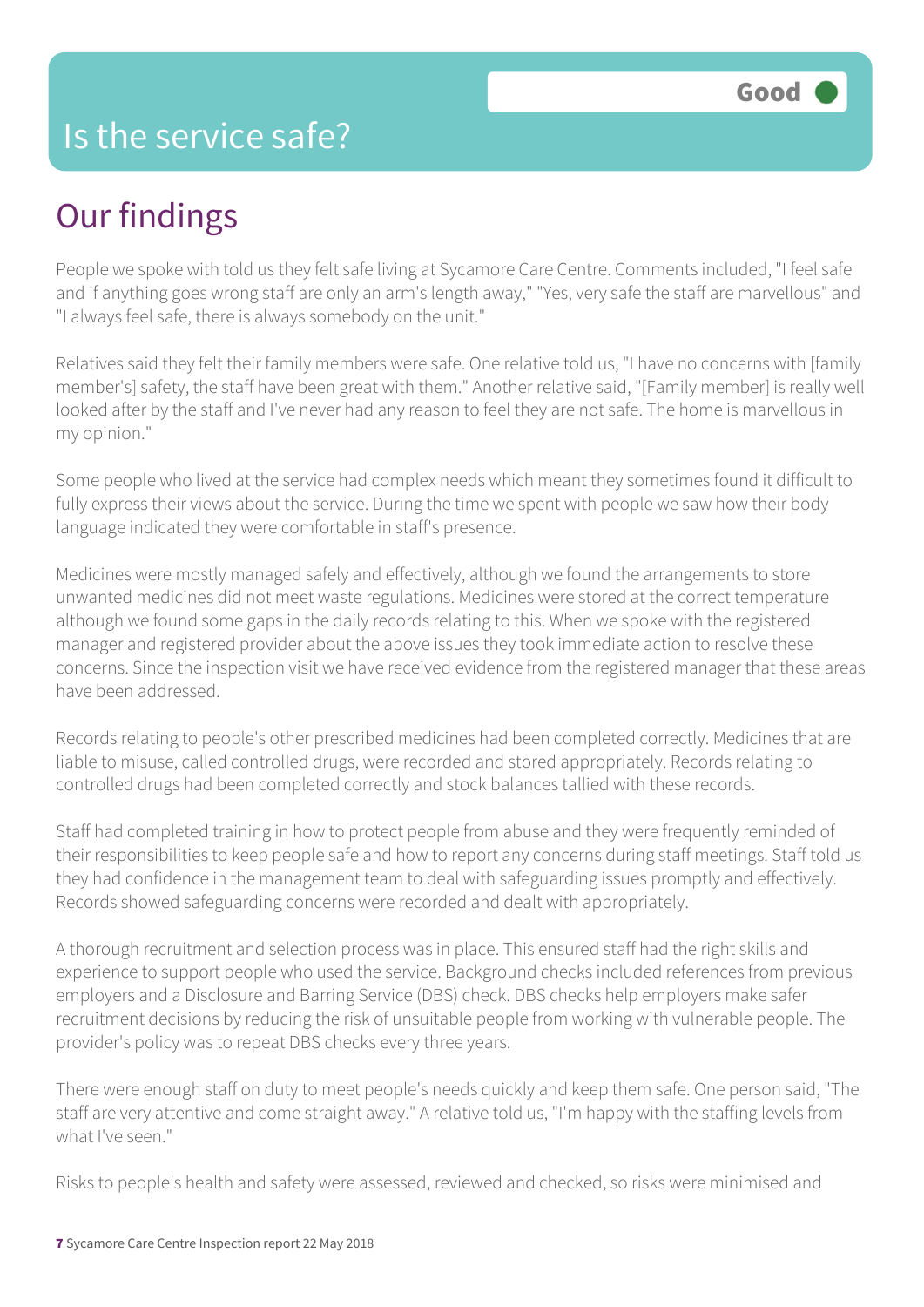#### Is the service safe?

## Our findings

People we spoke with told us they felt safe living at Sycamore Care Centre. Comments included, "I feel safe and if anything goes wrong staff are only an arm's length away," "Yes, very safe the staff are marvellous" and "I always feel safe, there is always somebody on the unit."

Relatives said they felt their family members were safe. One relative told us, "I have no concerns with [family member's] safety, the staff have been great with them." Another relative said, "[Family member] is really well looked after by the staff and I've never had any reason to feel they are not safe. The home is marvellous in my opinion."

Some people who lived at the service had complex needs which meant they sometimes found it difficult to fully express their views about the service. During the time we spent with people we saw how their body language indicated they were comfortable in staff's presence.

Medicines were mostly managed safely and effectively, although we found the arrangements to store unwanted medicines did not meet waste regulations. Medicines were stored at the correct temperature although we found some gaps in the daily records relating to this. When we spoke with the registered manager and registered provider about the above issues they took immediate action to resolve these concerns. Since the inspection visit we have received evidence from the registered manager that these areas have been addressed.

Records relating to people's other prescribed medicines had been completed correctly. Medicines that are liable to misuse, called controlled drugs, were recorded and stored appropriately. Records relating to controlled drugs had been completed correctly and stock balances tallied with these records.

Staff had completed training in how to protect people from abuse and they were frequently reminded of their responsibilities to keep people safe and how to report any concerns during staff meetings. Staff told us they had confidence in the management team to deal with safeguarding issues promptly and effectively. Records showed safeguarding concerns were recorded and dealt with appropriately.

A thorough recruitment and selection process was in place. This ensured staff had the right skills and experience to support people who used the service. Background checks included references from previous employers and a Disclosure and Barring Service (DBS) check. DBS checks help employers make safer recruitment decisions by reducing the risk of unsuitable people from working with vulnerable people. The provider's policy was to repeat DBS checks every three years.

There were enough staff on duty to meet people's needs quickly and keep them safe. One person said, "The staff are very attentive and come straight away." A relative told us, "I'm happy with the staffing levels from what I've seen."

Risks to people's health and safety were assessed, reviewed and checked, so risks were minimised and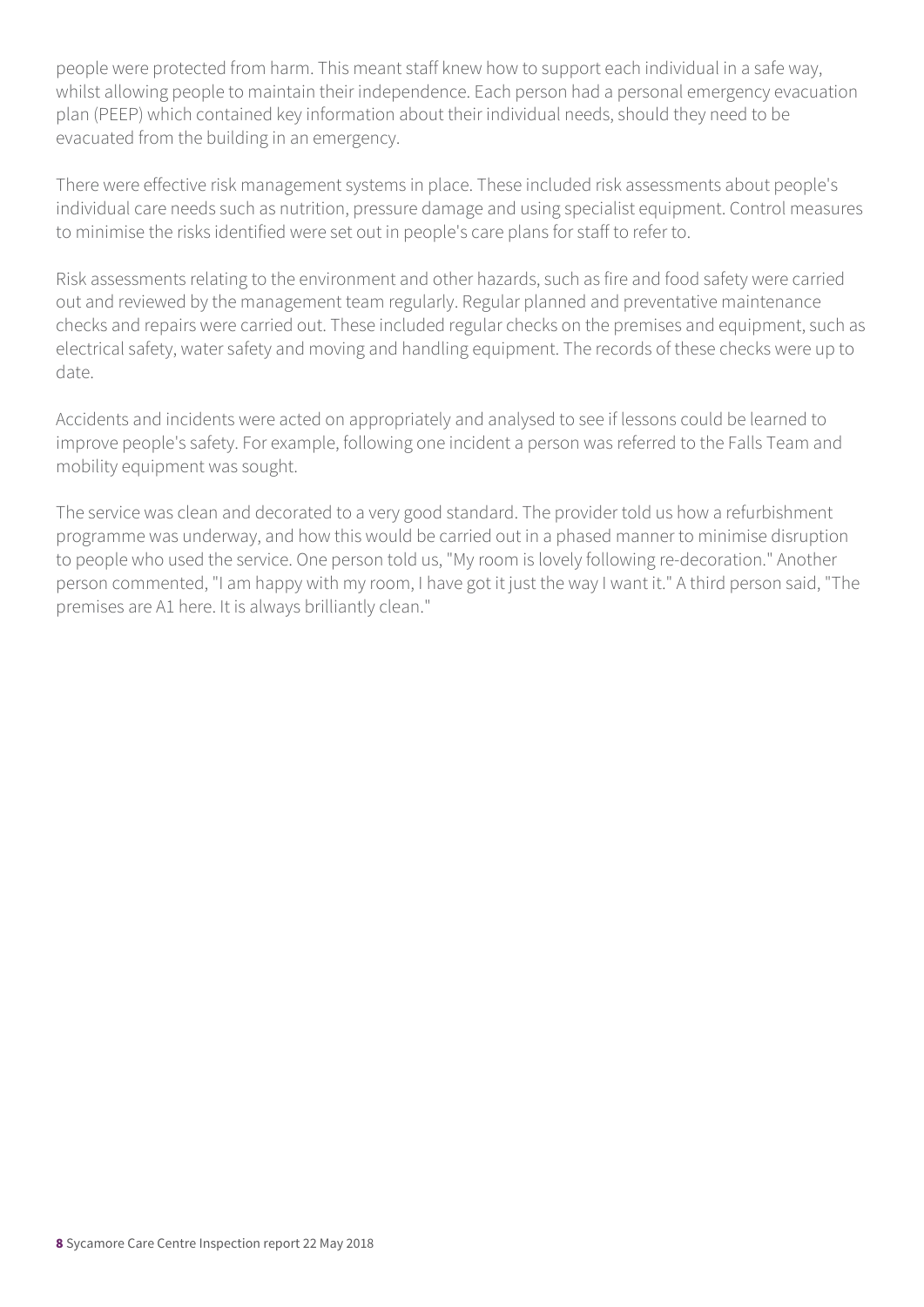people were protected from harm. This meant staff knew how to support each individual in a safe way, whilst allowing people to maintain their independence. Each person had a personal emergency evacuation plan (PEEP) which contained key information about their individual needs, should they need to be evacuated from the building in an emergency.

There were effective risk management systems in place. These included risk assessments about people's individual care needs such as nutrition, pressure damage and using specialist equipment. Control measures to minimise the risks identified were set out in people's care plans for staff to refer to.

Risk assessments relating to the environment and other hazards, such as fire and food safety were carried out and reviewed by the management team regularly. Regular planned and preventative maintenance checks and repairs were carried out. These included regular checks on the premises and equipment, such as electrical safety, water safety and moving and handling equipment. The records of these checks were up to date.

Accidents and incidents were acted on appropriately and analysed to see if lessons could be learned to improve people's safety. For example, following one incident a person was referred to the Falls Team and mobility equipment was sought.

The service was clean and decorated to a very good standard. The provider told us how a refurbishment programme was underway, and how this would be carried out in a phased manner to minimise disruption to people who used the service. One person told us, "My room is lovely following re-decoration." Another person commented, "I am happy with my room, I have got it just the way I want it." A third person said, "The premises are A1 here. It is always brilliantly clean."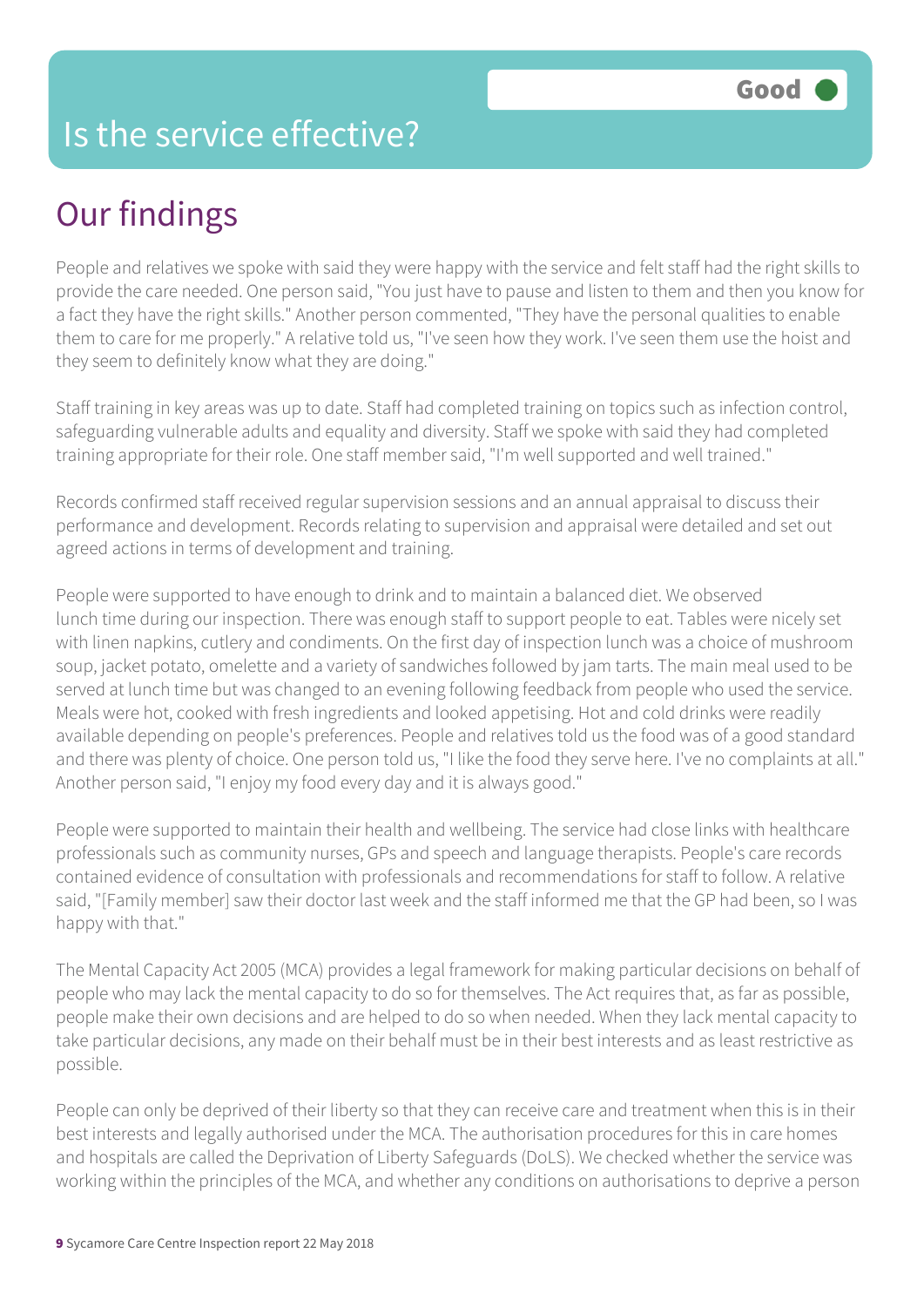### Is the service effective?

# Our findings

People and relatives we spoke with said they were happy with the service and felt staff had the right skills to provide the care needed. One person said, "You just have to pause and listen to them and then you know for a fact they have the right skills." Another person commented, "They have the personal qualities to enable them to care for me properly." A relative told us, "I've seen how they work. I've seen them use the hoist and they seem to definitely know what they are doing."

Staff training in key areas was up to date. Staff had completed training on topics such as infection control, safeguarding vulnerable adults and equality and diversity. Staff we spoke with said they had completed training appropriate for their role. One staff member said, "I'm well supported and well trained."

Records confirmed staff received regular supervision sessions and an annual appraisal to discuss their performance and development. Records relating to supervision and appraisal were detailed and set out agreed actions in terms of development and training.

People were supported to have enough to drink and to maintain a balanced diet. We observed lunch time during our inspection. There was enough staff to support people to eat. Tables were nicely set with linen napkins, cutlery and condiments. On the first day of inspection lunch was a choice of mushroom soup, jacket potato, omelette and a variety of sandwiches followed by jam tarts. The main meal used to be served at lunch time but was changed to an evening following feedback from people who used the service. Meals were hot, cooked with fresh ingredients and looked appetising. Hot and cold drinks were readily available depending on people's preferences. People and relatives told us the food was of a good standard and there was plenty of choice. One person told us, "I like the food they serve here. I've no complaints at all." Another person said, "I enjoy my food every day and it is always good."

People were supported to maintain their health and wellbeing. The service had close links with healthcare professionals such as community nurses, GPs and speech and language therapists. People's care records contained evidence of consultation with professionals and recommendations for staff to follow. A relative said, "[Family member] saw their doctor last week and the staff informed me that the GP had been, so I was happy with that."

The Mental Capacity Act 2005 (MCA) provides a legal framework for making particular decisions on behalf of people who may lack the mental capacity to do so for themselves. The Act requires that, as far as possible, people make their own decisions and are helped to do so when needed. When they lack mental capacity to take particular decisions, any made on their behalf must be in their best interests and as least restrictive as possible.

People can only be deprived of their liberty so that they can receive care and treatment when this is in their best interests and legally authorised under the MCA. The authorisation procedures for this in care homes and hospitals are called the Deprivation of Liberty Safeguards (DoLS). We checked whether the service was working within the principles of the MCA, and whether any conditions on authorisations to deprive a person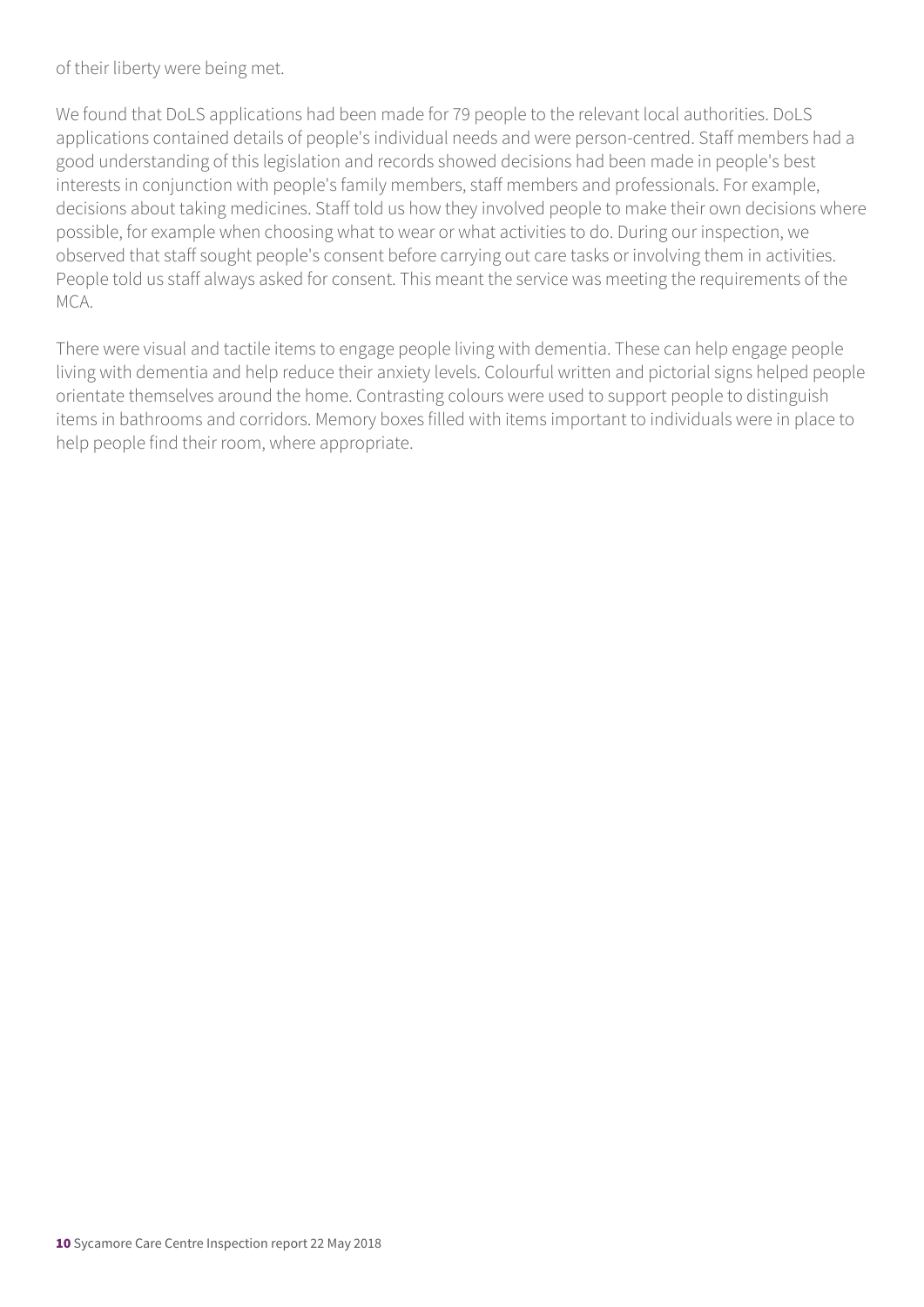of their liberty were being met.

We found that DoLS applications had been made for 79 people to the relevant local authorities. DoLS applications contained details of people's individual needs and were person-centred. Staff members had a good understanding of this legislation and records showed decisions had been made in people's best interests in conjunction with people's family members, staff members and professionals. For example, decisions about taking medicines. Staff told us how they involved people to make their own decisions where possible, for example when choosing what to wear or what activities to do. During our inspection, we observed that staff sought people's consent before carrying out care tasks or involving them in activities. People told us staff always asked for consent. This meant the service was meeting the requirements of the MCA.

There were visual and tactile items to engage people living with dementia. These can help engage people living with dementia and help reduce their anxiety levels. Colourful written and pictorial signs helped people orientate themselves around the home. Contrasting colours were used to support people to distinguish items in bathrooms and corridors. Memory boxes filled with items important to individuals were in place to help people find their room, where appropriate.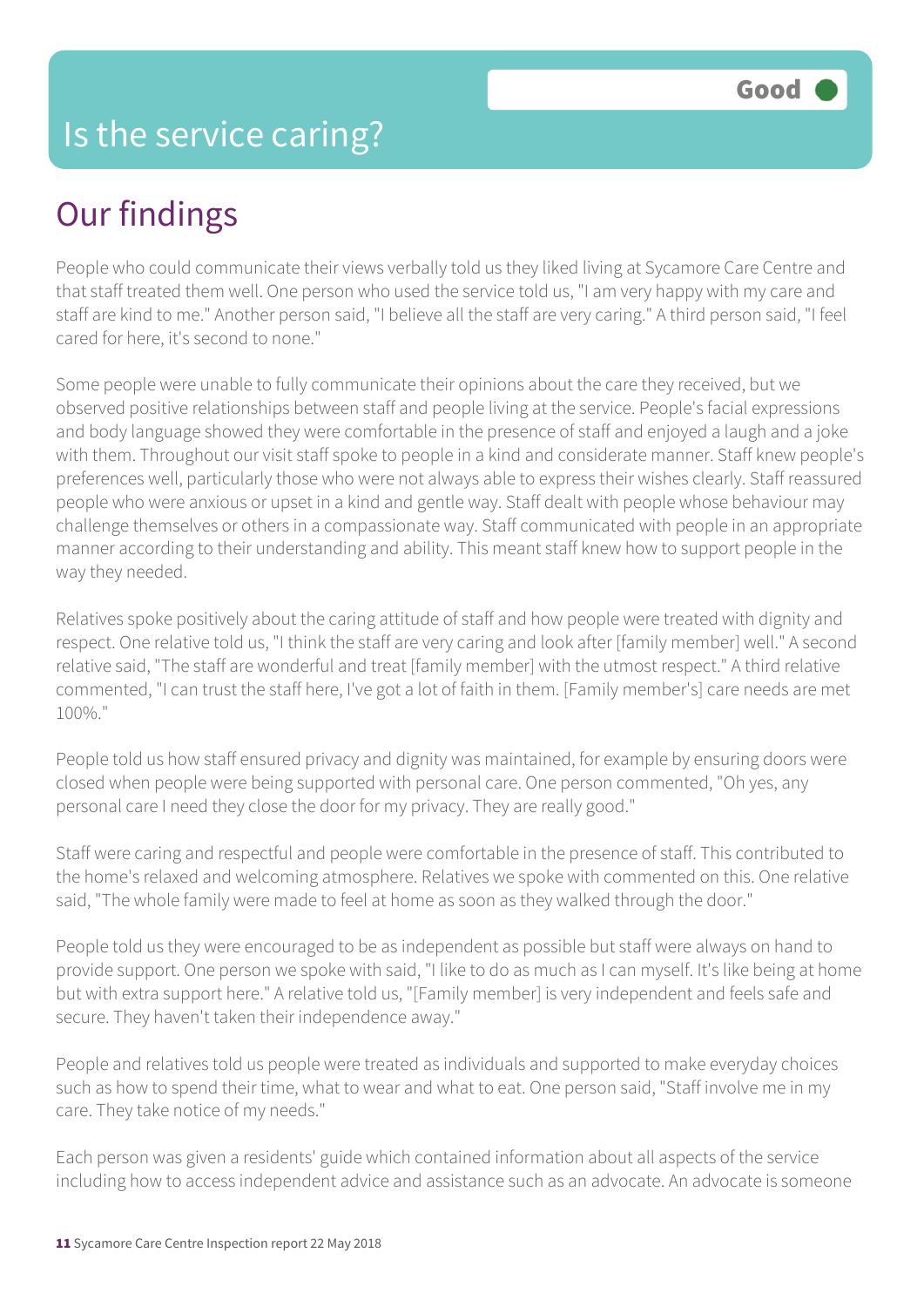# Our findings

People who could communicate their views verbally told us they liked living at Sycamore Care Centre and that staff treated them well. One person who used the service told us, "I am very happy with my care and staff are kind to me." Another person said, "I believe all the staff are very caring." A third person said, "I feel cared for here, it's second to none."

Some people were unable to fully communicate their opinions about the care they received, but we observed positive relationships between staff and people living at the service. People's facial expressions and body language showed they were comfortable in the presence of staff and enjoyed a laugh and a joke with them. Throughout our visit staff spoke to people in a kind and considerate manner. Staff knew people's preferences well, particularly those who were not always able to express their wishes clearly. Staff reassured people who were anxious or upset in a kind and gentle way. Staff dealt with people whose behaviour may challenge themselves or others in a compassionate way. Staff communicated with people in an appropriate manner according to their understanding and ability. This meant staff knew how to support people in the way they needed.

Relatives spoke positively about the caring attitude of staff and how people were treated with dignity and respect. One relative told us, "I think the staff are very caring and look after [family member] well." A second relative said, "The staff are wonderful and treat [family member] with the utmost respect." A third relative commented, "I can trust the staff here, I've got a lot of faith in them. [Family member's] care needs are met 100%."

People told us how staff ensured privacy and dignity was maintained, for example by ensuring doors were closed when people were being supported with personal care. One person commented, "Oh yes, any personal care I need they close the door for my privacy. They are really good."

Staff were caring and respectful and people were comfortable in the presence of staff. This contributed to the home's relaxed and welcoming atmosphere. Relatives we spoke with commented on this. One relative said, "The whole family were made to feel at home as soon as they walked through the door."

People told us they were encouraged to be as independent as possible but staff were always on hand to provide support. One person we spoke with said, "I like to do as much as I can myself. It's like being at home but with extra support here." A relative told us, "[Family member] is very independent and feels safe and secure. They haven't taken their independence away."

People and relatives told us people were treated as individuals and supported to make everyday choices such as how to spend their time, what to wear and what to eat. One person said, "Staff involve me in my care. They take notice of my needs."

Each person was given a residents' guide which contained information about all aspects of the service including how to access independent advice and assistance such as an advocate. An advocate is someone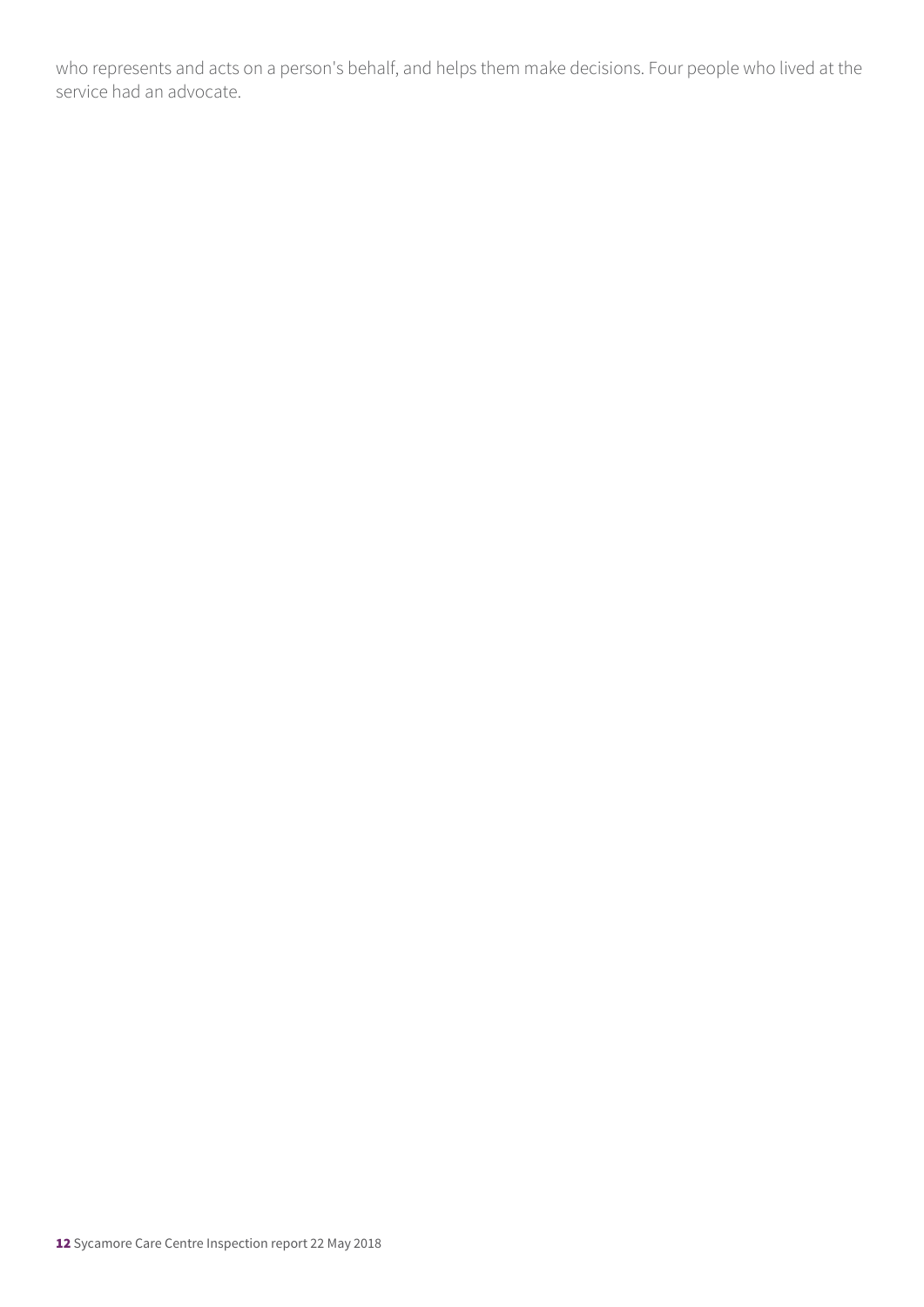who represents and acts on a person's behalf, and helps them make decisions. Four people who lived at the service had an advocate.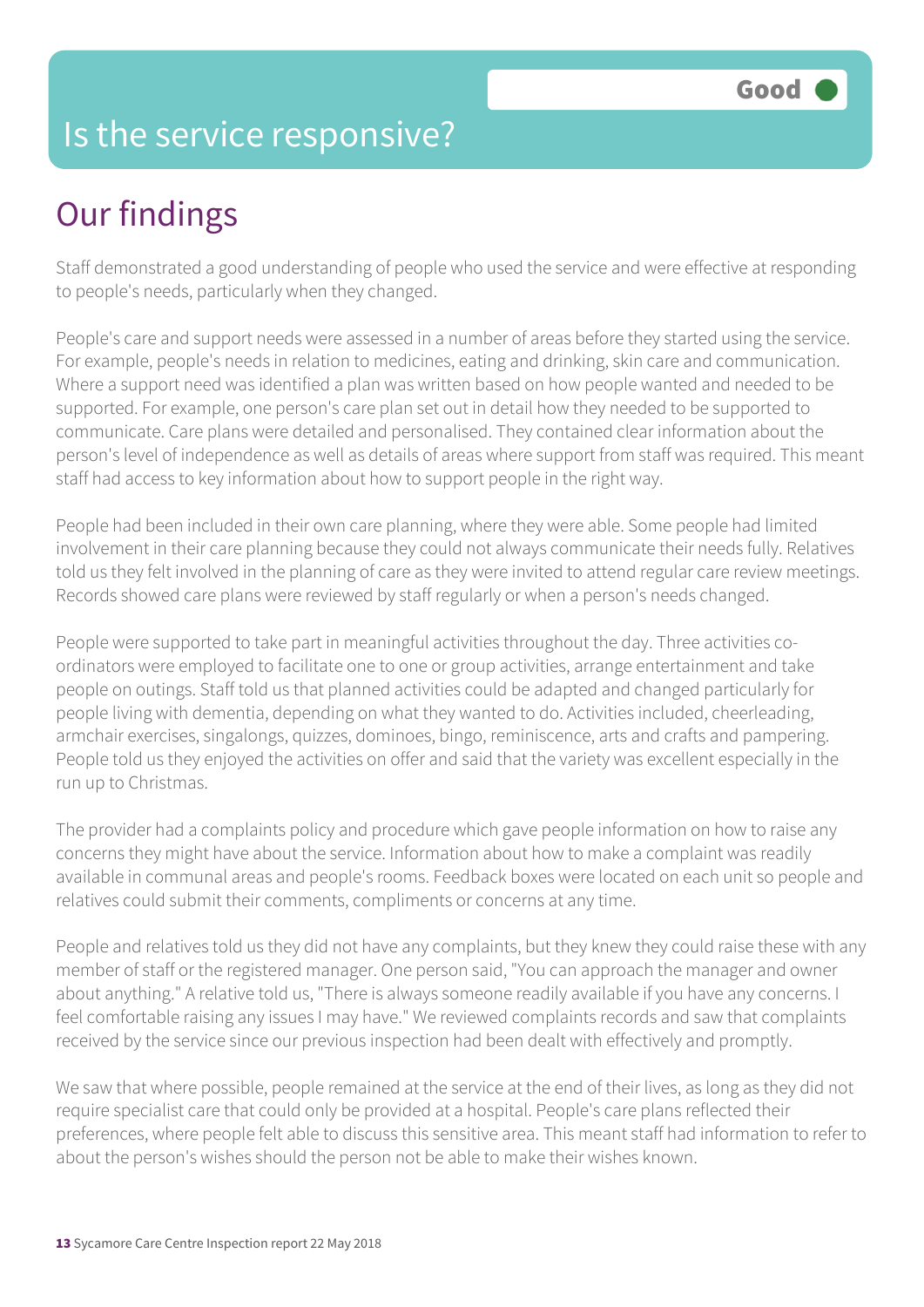### Is the service responsive?

# Our findings

Staff demonstrated a good understanding of people who used the service and were effective at responding to people's needs, particularly when they changed.

People's care and support needs were assessed in a number of areas before they started using the service. For example, people's needs in relation to medicines, eating and drinking, skin care and communication. Where a support need was identified a plan was written based on how people wanted and needed to be supported. For example, one person's care plan set out in detail how they needed to be supported to communicate. Care plans were detailed and personalised. They contained clear information about the person's level of independence as well as details of areas where support from staff was required. This meant staff had access to key information about how to support people in the right way.

People had been included in their own care planning, where they were able. Some people had limited involvement in their care planning because they could not always communicate their needs fully. Relatives told us they felt involved in the planning of care as they were invited to attend regular care review meetings. Records showed care plans were reviewed by staff regularly or when a person's needs changed.

People were supported to take part in meaningful activities throughout the day. Three activities coordinators were employed to facilitate one to one or group activities, arrange entertainment and take people on outings. Staff told us that planned activities could be adapted and changed particularly for people living with dementia, depending on what they wanted to do. Activities included, cheerleading, armchair exercises, singalongs, quizzes, dominoes, bingo, reminiscence, arts and crafts and pampering. People told us they enjoyed the activities on offer and said that the variety was excellent especially in the run up to Christmas.

The provider had a complaints policy and procedure which gave people information on how to raise any concerns they might have about the service. Information about how to make a complaint was readily available in communal areas and people's rooms. Feedback boxes were located on each unit so people and relatives could submit their comments, compliments or concerns at any time.

People and relatives told us they did not have any complaints, but they knew they could raise these with any member of staff or the registered manager. One person said, "You can approach the manager and owner about anything." A relative told us, "There is always someone readily available if you have any concerns. I feel comfortable raising any issues I may have." We reviewed complaints records and saw that complaints received by the service since our previous inspection had been dealt with effectively and promptly.

We saw that where possible, people remained at the service at the end of their lives, as long as they did not require specialist care that could only be provided at a hospital. People's care plans reflected their preferences, where people felt able to discuss this sensitive area. This meant staff had information to refer to about the person's wishes should the person not be able to make their wishes known.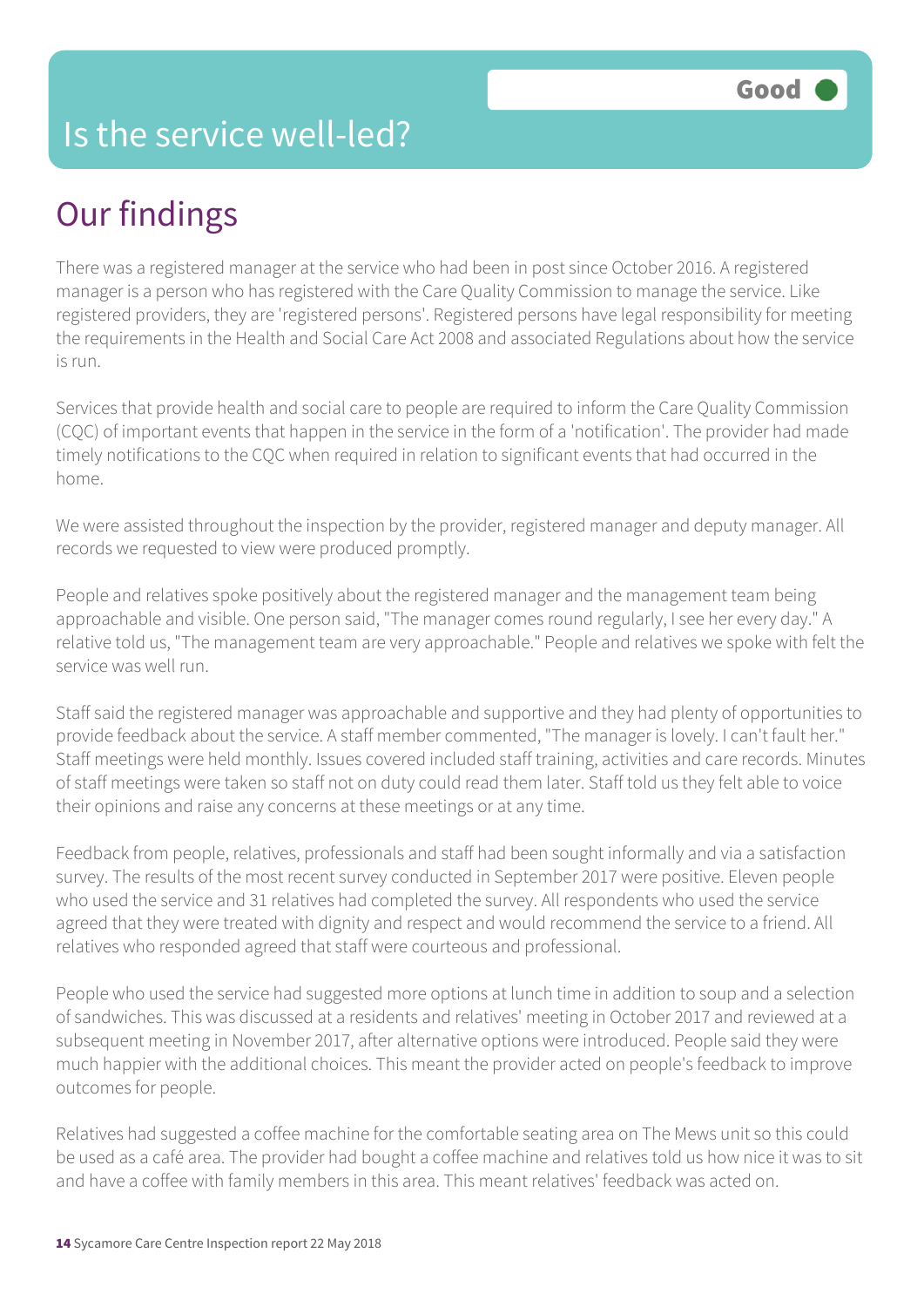#### Is the service well-led?

# Our findings

There was a registered manager at the service who had been in post since October 2016. A registered manager is a person who has registered with the Care Quality Commission to manage the service. Like registered providers, they are 'registered persons'. Registered persons have legal responsibility for meeting the requirements in the Health and Social Care Act 2008 and associated Regulations about how the service is run.

Services that provide health and social care to people are required to inform the Care Quality Commission (CQC) of important events that happen in the service in the form of a 'notification'. The provider had made timely notifications to the CQC when required in relation to significant events that had occurred in the home.

We were assisted throughout the inspection by the provider, registered manager and deputy manager. All records we requested to view were produced promptly.

People and relatives spoke positively about the registered manager and the management team being approachable and visible. One person said, "The manager comes round regularly, I see her every day." A relative told us, "The management team are very approachable." People and relatives we spoke with felt the service was well run.

Staff said the registered manager was approachable and supportive and they had plenty of opportunities to provide feedback about the service. A staff member commented, "The manager is lovely. I can't fault her." Staff meetings were held monthly. Issues covered included staff training, activities and care records. Minutes of staff meetings were taken so staff not on duty could read them later. Staff told us they felt able to voice their opinions and raise any concerns at these meetings or at any time.

Feedback from people, relatives, professionals and staff had been sought informally and via a satisfaction survey. The results of the most recent survey conducted in September 2017 were positive. Eleven people who used the service and 31 relatives had completed the survey. All respondents who used the service agreed that they were treated with dignity and respect and would recommend the service to a friend. All relatives who responded agreed that staff were courteous and professional.

People who used the service had suggested more options at lunch time in addition to soup and a selection of sandwiches. This was discussed at a residents and relatives' meeting in October 2017 and reviewed at a subsequent meeting in November 2017, after alternative options were introduced. People said they were much happier with the additional choices. This meant the provider acted on people's feedback to improve outcomes for people.

Relatives had suggested a coffee machine for the comfortable seating area on The Mews unit so this could be used as a café area. The provider had bought a coffee machine and relatives told us how nice it was to sit and have a coffee with family members in this area. This meant relatives' feedback was acted on.